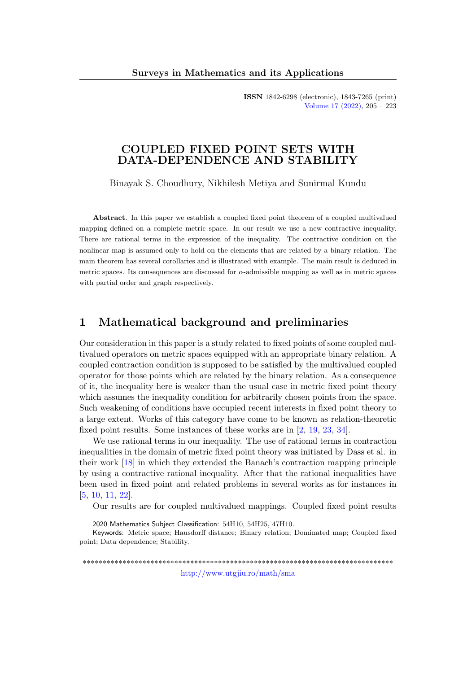ISSN 1842-6298 (electronic), 1843-7265 (print) [Volume 17 \(2022\),](http://www.utgjiu.ro/math/sma/v17/v17.html) 205 – 223

## COUPLED FIXED POINT SETS WITH DATA-DEPENDENCE AND STABILITY

Binayak S. Choudhury, Nikhilesh Metiya and Sunirmal Kundu

Abstract. In this paper we establish a coupled fixed point theorem of a coupled multivalued mapping defined on a complete metric space. In our result we use a new contractive inequality. There are rational terms in the expression of the inequality. The contractive condition on the nonlinear map is assumed only to hold on the elements that are related by a binary relation. The main theorem has several corollaries and is illustrated with example. The main result is deduced in metric spaces. Its consequences are discussed for α-admissible mapping as well as in metric spaces with partial order and graph respectively.

# 1 Mathematical background and preliminaries

Our consideration in this paper is a study related to fixed points of some coupled multivalued operators on metric spaces equipped with an appropriate binary relation. A coupled contraction condition is supposed to be satisfied by the multivalued coupled operator for those points which are related by the binary relation. As a consequence of it, the inequality here is weaker than the usual case in metric fixed point theory which assumes the inequality condition for arbitrarily chosen points from the space. Such weakening of conditions have occupied recent interests in fixed point theory to a large extent. Works of this category have come to be known as relation-theoretic fixed point results. Some instances of these works are in [\[2,](#page-15-0) [19,](#page-16-0) [23,](#page-16-1) [34\]](#page-17-0).

We use rational terms in our inequality. The use of rational terms in contraction inequalities in the domain of metric fixed point theory was initiated by Dass et al. in their work [\[18\]](#page-16-2) in which they extended the Banach's contraction mapping principle by using a contractive rational inequality. After that the rational inequalities have been used in fixed point and related problems in several works as for instances in [\[5,](#page-15-1) [10,](#page-15-2) [11,](#page-15-3) [22\]](#page-16-3).

Our results are for coupled multivalued mappings. Coupled fixed point results

\*\*\*\*\*\*\*\*\*\*\*\*\*\*\*\*\*\*\*\*\*\*\*\*\*\*\*\*\*\*\*\*\*\*\*\*\*\*\*\*\*\*\*\*\*\*\*\*\*\*\*\*\*\*\*\*\*\*\*\*\*\*\*\*\*\*\*\*\*\*\*\*\*\*\*\*\*\* <http://www.utgjiu.ro/math/sma>

<sup>2020</sup> Mathematics Subject Classification: 54H10, 54H25, 47H10.

Keywords: Metric space; Hausdorff distance; Binary relation; Dominated map; Coupled fixed point; Data dependence; Stability.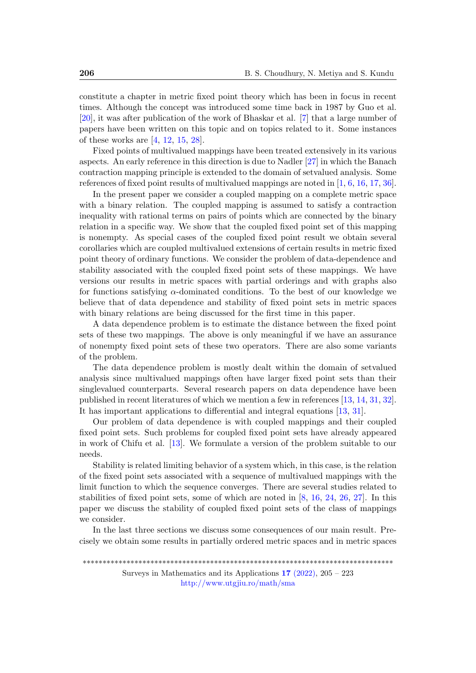constitute a chapter in metric fixed point theory which has been in focus in recent times. Although the concept was introduced some time back in 1987 by Guo et al. [\[20\]](#page-16-4), it was after publication of the work of Bhaskar et al. [\[7\]](#page-15-4) that a large number of papers have been written on this topic and on topics related to it. Some instances of these works are [\[4,](#page-15-5) [12,](#page-15-6) [15,](#page-16-5) [28\]](#page-17-1).

Fixed points of multivalued mappings have been treated extensively in its various aspects. An early reference in this direction is due to Nadler [\[27\]](#page-17-2) in which the Banach contraction mapping principle is extended to the domain of setvalued analysis. Some references of fixed point results of multivalued mappings are noted in [\[1,](#page-14-0) [6,](#page-15-7) [16,](#page-16-6) [17,](#page-16-7) [36\]](#page-18-0).

In the present paper we consider a coupled mapping on a complete metric space with a binary relation. The coupled mapping is assumed to satisfy a contraction inequality with rational terms on pairs of points which are connected by the binary relation in a specific way. We show that the coupled fixed point set of this mapping is nonempty. As special cases of the coupled fixed point result we obtain several corollaries which are coupled multivalued extensions of certain results in metric fixed point theory of ordinary functions. We consider the problem of data-dependence and stability associated with the coupled fixed point sets of these mappings. We have versions our results in metric spaces with partial orderings and with graphs also for functions satisfying  $\alpha$ -dominated conditions. To the best of our knowledge we believe that of data dependence and stability of fixed point sets in metric spaces with binary relations are being discussed for the first time in this paper.

A data dependence problem is to estimate the distance between the fixed point sets of these two mappings. The above is only meaningful if we have an assurance of nonempty fixed point sets of these two operators. There are also some variants of the problem.

The data dependence problem is mostly dealt within the domain of setvalued analysis since multivalued mappings often have larger fixed point sets than their singlevalued counterparts. Several research papers on data dependence have been published in recent literatures of which we mention a few in references [\[13,](#page-16-8) [14,](#page-16-9) [31,](#page-17-3) [32\]](#page-17-4). It has important applications to differential and integral equations [\[13,](#page-16-8) [31\]](#page-17-3).

Our problem of data dependence is with coupled mappings and their coupled fixed point sets. Such problems for coupled fixed point sets have already appeared in work of Chifu et al. [\[13\]](#page-16-8). We formulate a version of the problem suitable to our needs.

Stability is related limiting behavior of a system which, in this case, is the relation of the fixed point sets associated with a sequence of multivalued mappings with the limit function to which the sequence converges. There are several studies related to stabilities of fixed point sets, some of which are noted in [\[8,](#page-15-8) [16,](#page-16-6) [24,](#page-17-5) [26,](#page-17-6) [27\]](#page-17-2). In this paper we discuss the stability of coupled fixed point sets of the class of mappings we consider.

In the last three sections we discuss some consequences of our main result. Precisely we obtain some results in partially ordered metric spaces and in metric spaces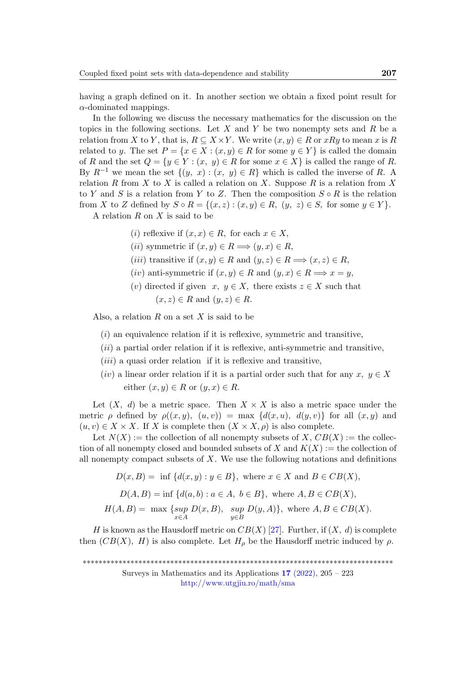having a graph defined on it. In another section we obtain a fixed point result for  $\alpha$ -dominated mappings.

In the following we discuss the necessary mathematics for the discussion on the topics in the following sections. Let X and Y be two nonempty sets and R be a relation from X to Y, that is,  $R \subseteq X \times Y$ . We write  $(x, y) \in R$  or  $xRy$  to mean x is R related to y. The set  $P = \{x \in X : (x, y) \in R \text{ for some } y \in Y\}$  is called the domain of R and the set  $Q = \{y \in Y : (x, y) \in R \text{ for some } x \in X\}$  is called the range of R. By  $R^{-1}$  we mean the set  $\{(y, x) : (x, y) \in R\}$  which is called the inverse of R. A relation R from X to X is called a relation on X. Suppose R is a relation from X to Y and S is a relation from Y to Z. Then the composition  $S \circ R$  is the relation from X to Z defined by  $S \circ R = \{(x, z) : (x, y) \in R, (y, z) \in S, \text{ for some } y \in Y\}.$ 

A relation  $R$  on  $X$  is said to be

- (i) reflexive if  $(x, x) \in R$ , for each  $x \in X$ ,
- (*ii*) symmetric if  $(x, y) \in R \Longrightarrow (y, x) \in R$ ,
- (*iii*) transitive if  $(x, y) \in R$  and  $(y, z) \in R \Longrightarrow (x, z) \in R$ ,
- (iv) anti-symmetric if  $(x, y) \in R$  and  $(y, x) \in R \Longrightarrow x = y$ ,
- (v) directed if given  $x, y \in X$ , there exists  $z \in X$  such that  $(x, z) \in R$  and  $(y, z) \in R$ .

Also, a relation  $R$  on a set  $X$  is said to be

- $(i)$  an equivalence relation if it is reflexive, symmetric and transitive,
- $(ii)$  a partial order relation if it is reflexive, anti-symmetric and transitive,
- $(iii)$  a quasi order relation if it is reflexive and transitive,
- (iv) a linear order relation if it is a partial order such that for any  $x, y \in X$ either  $(x, y) \in R$  or  $(y, x) \in R$ .

Let  $(X, d)$  be a metric space. Then  $X \times X$  is also a metric space under the metric  $\rho$  defined by  $\rho((x, y), (u, v)) = \max \{d(x, u), d(y, v)\}\$ for all  $(x, y)$  and  $(u, v) \in X \times X$ . If X is complete then  $(X \times X, \rho)$  is also complete.

Let  $N(X) :=$  the collection of all nonempty subsets of X,  $CB(X) :=$  the collection of all nonempty closed and bounded subsets of X and  $K(X) :=$  the collection of all nonempty compact subsets of  $X$ . We use the following notations and definitions

 $D(x, B) = \inf \{d(x, y) : y \in B\}$ , where  $x \in X$  and  $B \in CB(X)$ ,  $D(A, B) = \inf \{d(a, b) : a \in A, b \in B\}$ , where  $A, B \in CB(X)$ ,  $H(A, B) = \max \{ \sup$ x∈A  $D(x, B)$ , sup  $y \in B$  $D(y, A)$ , where  $A, B \in CB(X)$ .

H is known as the Hausdorff metric on  $CB(X)$  [\[27\]](#page-17-2). Further, if  $(X, d)$  is complete then  $(CB(X), H)$  is also complete. Let  $H_{\rho}$  be the Hausdorff metric induced by  $\rho$ .

<sup>\*\*\*\*\*\*\*\*\*\*\*\*\*\*\*\*\*\*\*\*\*\*\*\*\*\*\*\*\*\*\*\*\*\*\*\*\*\*\*\*\*\*\*\*\*\*\*\*\*\*\*\*\*\*\*\*\*\*\*\*\*\*\*\*\*\*\*\*\*\*\*\*\*\*\*\*\*\*</sup>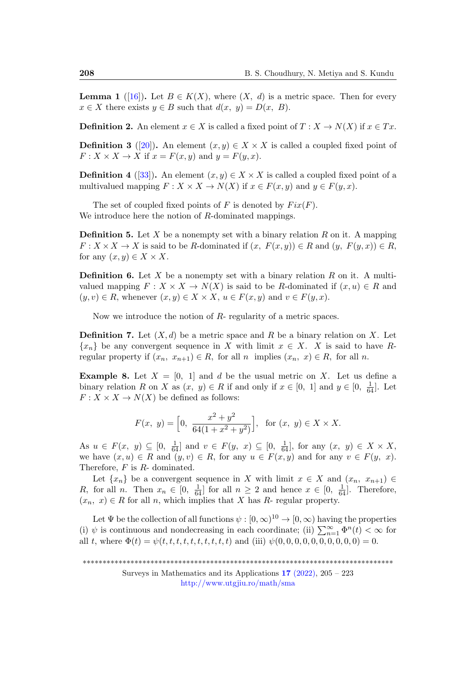<span id="page-3-0"></span>**Lemma 1** ([\[16\]](#page-16-6)). Let  $B \in K(X)$ , where  $(X, d)$  is a metric space. Then for every  $x \in X$  there exists  $y \in B$  such that  $d(x, y) = D(x, B)$ .

**Definition 2.** An element  $x \in X$  is called a fixed point of  $T : X \to N(X)$  if  $x \in Tx$ .

**Definition 3** ([\[20\]](#page-16-4)). An element  $(x, y) \in X \times X$  is called a coupled fixed point of  $F: X \times X \to X$  if  $x = F(x, y)$  and  $y = F(y, x)$ .

**Definition 4** ([\[33\]](#page-17-7)). An element  $(x, y) \in X \times X$  is called a coupled fixed point of a multivalued mapping  $F: X \times X \to N(X)$  if  $x \in F(x, y)$  and  $y \in F(y, x)$ .

The set of coupled fixed points of F is denoted by  $Fix(F)$ . We introduce here the notion of R-dominated mappings.

**Definition 5.** Let X be a nonempty set with a binary relation R on it. A mapping  $F: X \times X \to X$  is said to be R-dominated if  $(x, F(x, y)) \in R$  and  $(y, F(y, x)) \in R$ , for any  $(x, y) \in X \times X$ .

**Definition 6.** Let X be a nonempty set with a binary relation R on it. A multivalued mapping  $F: X \times X \to N(X)$  is said to be R-dominated if  $(x, u) \in R$  and  $(y, v) \in R$ , whenever  $(x, y) \in X \times X$ ,  $u \in F(x, y)$  and  $v \in F(y, x)$ .

Now we introduce the notion of R- regularity of a metric spaces.

**Definition 7.** Let  $(X, d)$  be a metric space and R be a binary relation on X. Let  ${x_n}$  be any convergent sequence in X with limit  $x \in X$ . X is said to have Rregular property if  $(x_n, x_{n+1}) \in R$ , for all n implies  $(x_n, x) \in R$ , for all n.

<span id="page-3-1"></span>**Example 8.** Let  $X = \begin{bmatrix} 0 & 1 \end{bmatrix}$  and d be the usual metric on X. Let us define a binary relation R on X as  $(x, y) \in R$  if and only if  $x \in [0, 1]$  and  $y \in [0, \frac{1}{64}]$ . Let  $F: X \times X \to N(X)$  be defined as follows:

$$
F(x, y) = \left[0, \frac{x^2 + y^2}{64(1 + x^2 + y^2)}\right], \text{ for } (x, y) \in X \times X.
$$

As  $u \in F(x, y) \subseteq [0, \frac{1}{64}]$  and  $v \in F(y, x) \subseteq [0, \frac{1}{64}]$ , for any  $(x, y) \in X \times X$ , we have  $(x, u) \in R$  and  $(y, v) \in R$ , for any  $u \in F(x, y)$  and for any  $v \in F(y, x)$ . Therefore, F is R- dominated.

Let  $\{x_n\}$  be a convergent sequence in X with limit  $x \in X$  and  $(x_n, x_{n+1}) \in$ R, for all n. Then  $x_n \in [0, \frac{1}{64}]$  for all  $n \geq 2$  and hence  $x \in [0, \frac{1}{64}]$ . Therefore,  $(x_n, x) \in R$  for all n, which implies that X has R- regular property.

Let  $\Psi$  be the collection of all functions  $\psi : [0, \infty)^{10} \to [0, \infty)$  having the properties (i)  $\psi$  is continuous and nondecreasing in each coordinate; (ii)  $\sum_{n=1}^{\infty} \Phi^n(t) < \infty$  for all t, where  $\Phi(t) = \psi(t, t, t, t, t, t, t, t, t, t, t)$  and (iii)  $\psi(0, 0, 0, 0, 0, 0, 0, 0, 0, 0) = 0$ .

<sup>\*\*\*\*\*\*\*\*\*\*\*\*\*\*\*\*\*\*\*\*\*\*\*\*\*\*\*\*\*\*\*\*\*\*\*\*\*\*\*\*\*\*\*\*\*\*\*\*\*\*\*\*\*\*\*\*\*\*\*\*\*\*\*\*\*\*\*\*\*\*\*\*\*\*\*\*\*\*</sup>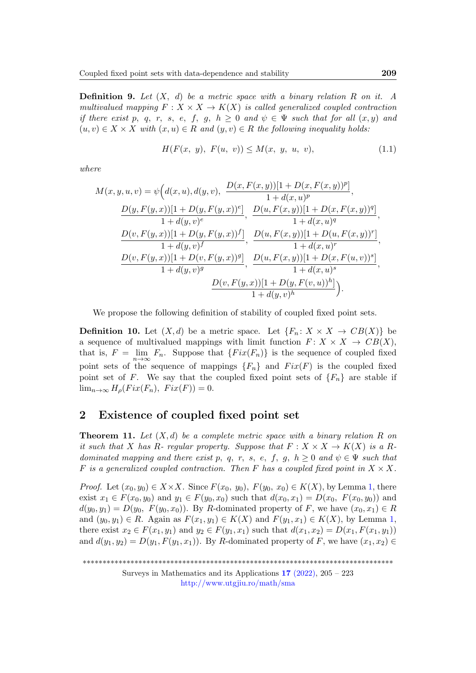<span id="page-4-2"></span>**Definition 9.** Let  $(X, d)$  be a metric space with a binary relation R on it. A multivalued mapping  $F: X \times X \to K(X)$  is called generalized coupled contraction if there exist p, q, r, s, e, f, g,  $h \geq 0$  and  $\psi \in \Psi$  such that for all  $(x, y)$  and  $(u, v) \in X \times X$  with  $(x, u) \in R$  and  $(y, v) \in R$  the following inequality holds:

<span id="page-4-1"></span>
$$
H(F(x, y), F(u, v)) \le M(x, y, u, v), \tag{1.1}
$$

where

$$
M(x, y, u, v) = \psi\Big(d(x, u), d(y, v), \frac{D(x, F(x, y))[1 + D(x, F(x, y))^p]}{1 + d(x, u)^p},
$$
  
\n
$$
\frac{D(y, F(y, x))[1 + D(y, F(y, x))^e]}{1 + d(y, v)^e}, \frac{D(u, F(x, y))[1 + D(x, F(x, y))^q]}{1 + d(x, u)^q},
$$
  
\n
$$
\frac{D(v, F(y, x))[1 + D(y, F(y, x))^f]}{1 + d(y, v)^f}, \frac{D(u, F(x, y))[1 + D(u, F(x, y))^r]}{1 + d(x, u)^r},
$$
  
\n
$$
\frac{D(v, F(y, x))[1 + D(v, F(y, x))^g]}{1 + d(y, v)^g}, \frac{D(u, F(x, y))[1 + D(x, F(u, v))^s]}{1 + d(x, u)^s},
$$
  
\n
$$
\frac{D(v, F(y, x))[1 + D(y, F(v, u))^h]}{1 + d(y, v)^h}.
$$

We propose the following definition of stability of coupled fixed point sets.

**Definition 10.** Let  $(X,d)$  be a metric space. Let  $\{F_n: X \times X \to CB(X)\}\)$ a sequence of multivalued mappings with limit function  $F: X \times X \to CB(X)$ , that is,  $F = \lim_{n \to \infty} F_n$ . Suppose that  $\{Fix(F_n)\}\$ is the sequence of coupled fixed point sets of the sequence of mappings  ${F_n}$  and  $Fix(F)$  is the coupled fixed point set of F. We say that the coupled fixed point sets of  ${F_n}$  are stable if  $\lim_{n\to\infty} H_o(Fix(F_n), Fix(F))=0.$ 

### 2 Existence of coupled fixed point set

<span id="page-4-0"></span>**Theorem 11.** Let  $(X,d)$  be a complete metric space with a binary relation R on it such that X has R- regular property. Suppose that  $F: X \times X \to K(X)$  is a Rdominated mapping and there exist p, q, r, s, e, f, g,  $h \geq 0$  and  $\psi \in \Psi$  such that F is a generalized coupled contraction. Then F has a coupled fixed point in  $X \times X$ .

*Proof.* Let  $(x_0, y_0) \in X \times X$ . Since  $F(x_0, y_0)$ ,  $F(y_0, x_0) \in K(X)$ , by Lemma [1,](#page-3-0) there exist  $x_1 \in F(x_0, y_0)$  and  $y_1 \in F(y_0, x_0)$  such that  $d(x_0, x_1) = D(x_0, F(x_0, y_0))$  and  $d(y_0, y_1) = D(y_0, F(y_0, x_0))$ . By R-dominated property of F, we have  $(x_0, x_1) \in R$ and  $(y_0, y_1) \in R$ . Again as  $F(x_1, y_1) \in K(X)$  $F(x_1, y_1) \in K(X)$  $F(x_1, y_1) \in K(X)$  and  $F(y_1, x_1) \in K(X)$ , by Lemma 1, there exist  $x_2 \in F(x_1, y_1)$  and  $y_2 \in F(y_1, x_1)$  such that  $d(x_1, x_2) = D(x_1, F(x_1, y_1))$ and  $d(y_1, y_2) = D(y_1, F(y_1, x_1))$ . By R-dominated property of F, we have  $(x_1, x_2) \in$ 

<sup>\*\*\*\*\*\*\*\*\*\*\*\*\*\*\*\*\*\*\*\*\*\*\*\*\*\*\*\*\*\*\*\*\*\*\*\*\*\*\*\*\*\*\*\*\*\*\*\*\*\*\*\*\*\*\*\*\*\*\*\*\*\*\*\*\*\*\*\*\*\*\*\*\*\*\*\*\*\*</sup>

Surveys in Mathematics and its Applications  $17$  [\(2022\),](http://www.utgjiu.ro/math/sma/v17/v17.html) 205 – 223 <http://www.utgjiu.ro/math/sma>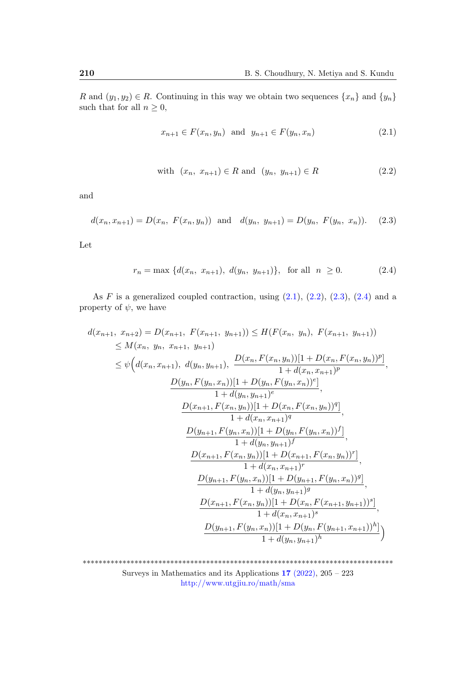R and  $(y_1, y_2) \in R$ . Continuing in this way we obtain two sequences  $\{x_n\}$  and  $\{y_n\}$ such that for all  $n \geq 0$ ,

<span id="page-5-1"></span><span id="page-5-0"></span>
$$
x_{n+1} \in F(x_n, y_n) \text{ and } y_{n+1} \in F(y_n, x_n)
$$
 (2.1)

<span id="page-5-3"></span><span id="page-5-2"></span>with 
$$
(x_n, x_{n+1}) \in R
$$
 and  $(y_n, y_{n+1}) \in R$  (2.2)

and

$$
d(x_n, x_{n+1}) = D(x_n, F(x_n, y_n)) \text{ and } d(y_n, y_{n+1}) = D(y_n, F(y_n, x_n)). \quad (2.3)
$$

Let

$$
r_n = \max \{ d(x_n, x_{n+1}), d(y_n, y_{n+1}) \}, \text{ for all } n \ge 0. \tag{2.4}
$$

As  $F$  is a generalized coupled contraction, using  $(2.1)$ ,  $(2.2)$ ,  $(2.3)$ ,  $(2.4)$  and a property of  $\psi$ , we have

$$
d(x_{n+1}, x_{n+2}) = D(x_{n+1}, F(x_{n+1}, y_{n+1})) \leq H(F(x_n, y_n), F(x_{n+1}, y_{n+1}))
$$
  
\n
$$
\leq M(x_n, y_n, x_{n+1}, y_{n+1})
$$
  
\n
$$
\leq \psi\Big(d(x_n, x_{n+1}), d(y_n, y_{n+1}), \frac{D(x_n, F(x_n, y_n))[1 + D(x_n, F(x_n, y_n))^p]}{1 + d(x_n, x_{n+1})^p}, \frac{D(y_n, F(y_n, x_n))[1 + D(y_n, F(y_n, x_n))^e]}{1 + d(x_n, y_{n+1})^e},
$$
  
\n
$$
\frac{D(x_{n+1}, F(x_n, y_n))[1 + D(x_n, F(x_n, y_n))^q]}{1 + d(x_n, x_{n+1})^q},
$$
  
\n
$$
\frac{D(y_{n+1}, F(y_n, x_n))[1 + D(y_n, F(y_n, x_n))^f]}{1 + d(y_n, y_{n+1})^f},
$$
  
\n
$$
\frac{D(x_{n+1}, F(x_n, y_n))[1 + D(x_{n+1}, F(x_n, y_n))^r]}{1 + d(x_n, x_{n+1})^r},
$$
  
\n
$$
\frac{D(y_{n+1}, F(y_n, x_n))[1 + D(y_{n+1}, F(y_n, x_n))^g]}{1 + d(y_n, y_{n+1})^g},
$$
  
\n
$$
\frac{D(x_{n+1}, F(x_n, y_n))[1 + D(x_n, F(x_n, y_{n+1})^s]}{1 + d(x_n, x_{n+1})^s},
$$
  
\n
$$
\frac{D(y_{n+1}, F(y_n, x_n))[1 + D(y_n, F(x_{n+1}, y_{n+1}))^h]}{1 + d(y_n, y_{n+1})^h}
$$

\*\*\*\*\*\*\*\*\*\*\*\*\*\*\*\*\*\*\*\*\*\*\*\*\*\*\*\*\*\*\*\*\*\*\*\*\*\*\*\*\*\*\*\*\*\*\*\*\*\*\*\*\*\*\*\*\*\*\*\*\*\*\*\*\*\*\*\*\*\*\*\*\*\*\*\*\*\* Surveys in Mathematics and its Applications 17 [\(2022\),](http://www.utgjiu.ro/math/sma/v17/v17.html) 205 – 223 <http://www.utgjiu.ro/math/sma>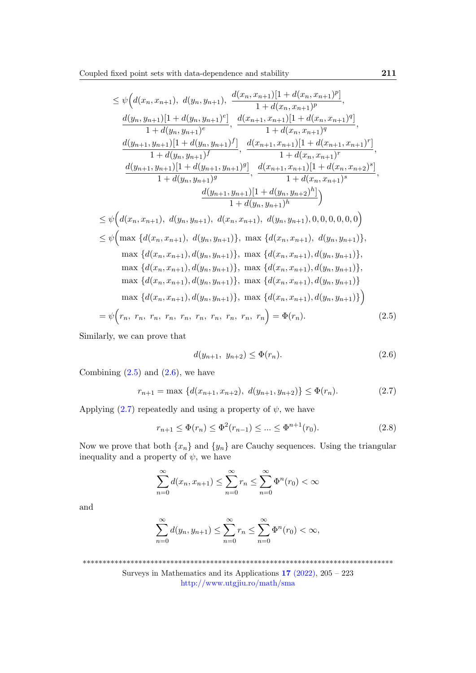$$
\leq \psi\Big(d(x_n, x_{n+1}), d(y_n, y_{n+1}), \frac{d(x_n, x_{n+1})[1 + d(x_n, x_{n+1})^p]}{1 + d(x_n, x_{n+1})^p},
$$
\n
$$
\frac{d(y_n, y_{n+1})[1 + d(y_n, y_{n+1})^e]}{1 + d(y_n, y_{n+1})^e}, \frac{d(x_{n+1}, x_{n+1})[1 + d(x_n, x_{n+1})^q]}{1 + d(x_n, x_{n+1})^q},
$$
\n
$$
\frac{d(y_{n+1}, y_{n+1})[1 + d(y_n, y_{n+1})^f]}{1 + d(x_n, y_{n+1})^f}, \frac{d(x_{n+1}, x_{n+1})[1 + d(x_{n+1}, x_{n+1})^r]}{1 + d(x_n, x_{n+1})^r},
$$
\n
$$
\frac{d(y_{n+1}, y_{n+1})[1 + d(y_{n+1}, y_{n+1})^g]}{1 + d(x_n, y_{n+1})^g}, \frac{d(x_{n+1}, x_{n+1})[1 + d(x_n, x_{n+2})^s]}{1 + d(x_n, x_{n+1})^s},
$$
\n
$$
\frac{d(y_{n+1}, y_{n+1})[1 + d(y_n, y_{n+2})^h]}{1 + d(x_n, y_{n+1})^h}\Big)
$$
\n
$$
\leq \psi\Big(d(x_n, x_{n+1}), d(y_n, y_{n+1}), d(x_n, x_{n+1}), d(y_n, y_{n+1}), 0, 0, 0, 0, 0, 0\Big)
$$
\n
$$
\leq \psi\Big(\max\Big\{d(x_n, x_{n+1}), d(y_n, y_{n+1})\Big\}, \max\Big\{d(x_n, x_{n+1}), d(y_n, y_{n+1})\Big\},
$$
\n
$$
\max\Big\{d(x_n, x_{n+1}), d(y_n, y_{n+1})\Big\}, \max\Big\{d(x_n, x_{n+1}), d(y_n, y_{n+1})\Big\},
$$
\n
$$
\max\Big\{d(x_n, x_{n+1}), d(y_n, y_{n+1})\Big\}, \max\Big\{d(x_n, x_{n+1}), d(y_n, y_{n+1})\Big\},
$$
\n
$$
\max\Big\{d(x_n, x_{n+
$$

Similarly, we can prove that

<span id="page-6-3"></span><span id="page-6-2"></span><span id="page-6-1"></span><span id="page-6-0"></span>
$$
d(y_{n+1}, y_{n+2}) \le \Phi(r_n). \tag{2.6}
$$

Combining  $(2.5)$  and  $(2.6)$ , we have

$$
r_{n+1} = \max \left\{ d(x_{n+1}, x_{n+2}), \ d(y_{n+1}, y_{n+2}) \right\} \le \Phi(r_n). \tag{2.7}
$$

Applying  $(2.7)$  repeatedly and using a property of  $\psi$ , we have

$$
r_{n+1} \le \Phi(r_n) \le \Phi^2(r_{n-1}) \le \dots \le \Phi^{n+1}(r_0). \tag{2.8}
$$

Now we prove that both  $\{x_n\}$  and  $\{y_n\}$  are Cauchy sequences. Using the triangular inequality and a property of  $\psi$ , we have

$$
\sum_{n=0}^{\infty} d(x_n, x_{n+1}) \le \sum_{n=0}^{\infty} r_n \le \sum_{n=0}^{\infty} \Phi^n(r_0) < \infty
$$

and

$$
\sum_{n=0}^{\infty} d(y_n, y_{n+1}) \le \sum_{n=0}^{\infty} r_n \le \sum_{n=0}^{\infty} \Phi^n(r_0) < \infty,
$$

\*\*\*\*\*\*\*\*\*\*\*\*\*\*\*\*\*\*\*\*\*\*\*\*\*\*\*\*\*\*\*\*\*\*\*\*\*\*\*\*\*\*\*\*\*\*\*\*\*\*\*\*\*\*\*\*\*\*\*\*\*\*\*\*\*\*\*\*\*\*\*\*\*\*\*\*\*\*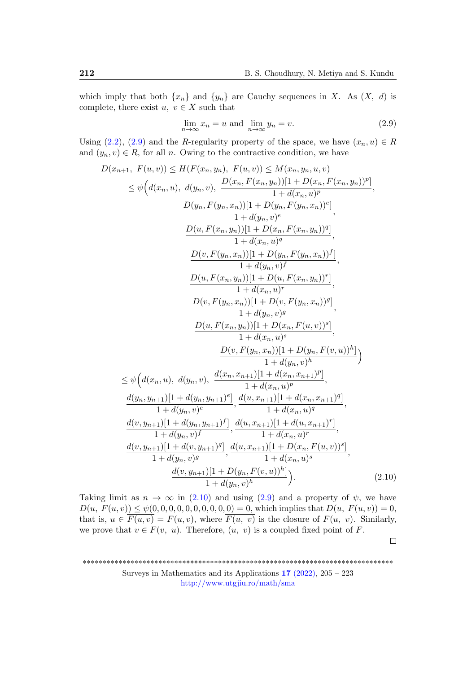which imply that both  $\{x_n\}$  and  $\{y_n\}$  are Cauchy sequences in X. As  $(X, d)$  is complete, there exist  $u, v \in X$  such that

<span id="page-7-0"></span>
$$
\lim_{n \to \infty} x_n = u \text{ and } \lim_{n \to \infty} y_n = v. \tag{2.9}
$$

Using [\(2.2\)](#page-5-1), [\(2.9\)](#page-7-0) and the R-regularity property of the space, we have  $(x_n, u) \in R$ and  $(y_n, v) \in R$ , for all n. Owing to the contractive condition, we have

$$
D(x_{n+1}, F(u, v)) \leq H(F(x_n, y_n), F(u, v)) \leq M(x_n, y_n, u, v)
$$
  
\n
$$
\leq \psi\Big(d(x_n, u), d(y_n, v), \frac{D(x_n, F(x_n, y_n))[1 + D(x_n, F(x_n, y_n))^p]}{1 + d(x_n, u)^p},
$$
  
\n
$$
\frac{D(y_n, F(y_n, x_n))[1 + D(y_n, F(y_n, x_n))^e]}{1 + d(y_n, v)^e},
$$
  
\n
$$
\frac{D(u, F(x_n, y_n))[1 + D(x_n, F(x_n, y_n))^q]}{1 + d(x_n, u)^q},
$$
  
\n
$$
\frac{D(v, F(y_n, x_n))[1 + D(y_n, F(y_n, x_n))^f]}{1 + d(y_n, v)^f},
$$
  
\n
$$
\frac{D(u, F(x_n, y_n))[1 + D(u, F(x_n, y_n))^r]}{1 + d(x_n, u)^r},
$$
  
\n
$$
\frac{D(v, F(y_n, x_n))[1 + D(x_n, F(u, v))^s]}{1 + d(y_n, v)^g},
$$
  
\n
$$
\frac{D(u, F(x_n, y_n))[1 + D(x_n, F(u, v))^s]}{1 + d(x_n, u)^s},
$$
  
\n
$$
\frac{D(v, F(y_n, x_n))[1 + D(y_n, F(v, u))^h)}{1 + d(y_n, v)^h}
$$
  
\n
$$
\leq \psi\Big(d(x_n, u), d(y_n, v), \frac{d(x_n, x_{n+1})[1 + d(x_n, x_{n+1})^p]}{1 + d(x_n, u)^p},
$$
  
\n
$$
\frac{d(y_n, y_{n+1})[1 + d(y_n, y_{n+1})^e]}{1 + d(x_n, v)^e}, \frac{d(u, x_{n+1})[1 + d(x_n, x_{n+1})^q]}{1 + d(x_n, u)^q},
$$
  
\n
$$
\frac{d(v, y_{n+1})[1 + d(y_n, y_{n+1})^f]}{1 + d(y_n, v)^f}, \frac{d(u, x_{n+1})[1 + D(x_n, F(u, v))^s]}{1 + d(x_n, u)^r},
$$
  
\n
$$
\frac{d(v, y_{n+1})[1 + D(x_n, F(v, u))^h]}{1 + d(y_n, v)^g},
$$
  
\n<math display="</math>

Taking limit as  $n \to \infty$  in [\(2.10\)](#page-7-1) and using [\(2.9\)](#page-7-0) and a property of  $\psi$ , we have  $D(u, F(u, v)) \leq \psi(0, 0, 0, 0, 0, 0, 0, 0, 0, 0) = 0$ , which implies that  $D(u, F(u, v)) = 0$ , that is,  $u \in \overline{F(u, v)} = F(u, v)$ , where  $\overline{F(u, v)}$  is the closure of  $F(u, v)$ . Similarly, we prove that  $v \in F(v, u)$ . Therefore,  $(u, v)$  is a coupled fixed point of F.

<span id="page-7-1"></span> $\Box$ 

<sup>\*\*\*\*\*\*\*\*\*\*\*\*\*\*\*\*\*\*\*\*\*\*\*\*\*\*\*\*\*\*\*\*\*\*\*\*\*\*\*\*\*\*\*\*\*\*\*\*\*\*\*\*\*\*\*\*\*\*\*\*\*\*\*\*\*\*\*\*\*\*\*\*\*\*\*\*\*\*</sup>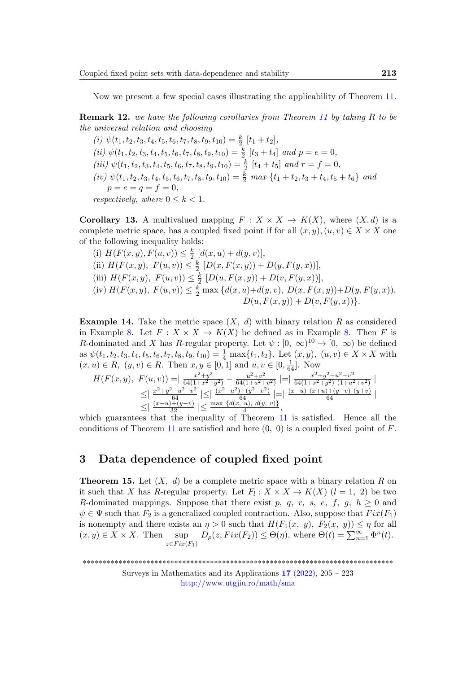Now we present a few special cases illustrating the applicability of Theorem [11.](#page-4-0)

Remark 12. we have the following corollaries from Theorem [11](#page-4-0) by taking R to be the universal relation and choosing

(i)  $\psi(t_1, t_2, t_3, t_4, t_5, t_6, t_7, t_8, t_9, t_{10}) = \frac{k}{2} [t_1 + t_2],$ (ii)  $\psi(t_1, t_2, t_3, t_4, t_5, t_6, t_7, t_8, t_9, t_{10}) = \frac{k}{2} [t_3 + t_4]$  and  $p = e = 0$ , (iii)  $\psi(t_1, t_2, t_3, t_4, t_5, t_6, t_7, t_8, t_9, t_{10}) = \frac{k}{2} [t_4 + t_5]$  and  $r = f = 0$ , (iv)  $\psi(t_1, t_2, t_3, t_4, t_5, t_6, t_7, t_8, t_9, t_{10}) = \frac{k}{2} \max \{t_1 + t_2, t_3 + t_4, t_5 + t_6\}$  and  $p = e = q = f = 0,$ respectively, where  $0 \leq k \leq 1$ .

**Corollary 13.** A multivalued mapping  $F : X \times X \to K(X)$ , where  $(X, d)$  is a complete metric space, has a coupled fixed point if for all  $(x, y), (u, v) \in X \times X$  one of the following inequality holds:

(i)  $H(F(x, y), F(u, v)) \leq \frac{k}{2}$  $\frac{k}{2}$  [d(x, u) + d(y, v)], (ii)  $H(F(x, y), F(u, v)) \leq \frac{k}{2}$  $\frac{k}{2}$   $[D(x, F(x, y)) + D(y, F(y, x))],$ (iii)  $H(F(x, y), F(u, v)) \leq \frac{k}{2}$  $\frac{k}{2}$  [D(u, F(x, y)) + D(v, F(y, x))], (iv)  $H(F(x, y), F(u, v)) \leq \frac{k}{2} \max \{d(x, u)+d(y, v), D(x, F(x, y))+D(y, F(y, x)),$  $D(u, F(x, y)) + D(v, F(y, x))$ .

**Example 14.** Take the metric space  $(X, d)$  with binary relation R as considered in Example [8.](#page-3-1) Let  $F: X \times X \to K(X)$  be defined as in Example 8. Then F is R-dominated and X has R-regular property. Let  $\psi : [0, \infty)^{10} \to [0, \infty)$  be defined as  $\psi(t_1, t_2, t_3, t_4, t_5, t_6, t_7, t_8, t_9, t_{10}) = \frac{1}{4} \max\{t_1, t_2\}$ . Let  $(x, y)$ ,  $(u, v) \in X \times X$  with  $(x, u) \in R$ ,  $(y, v) \in R$ . Then  $x, y \in [0, 1]$  and  $u, v \in [0, \frac{1}{64}]$ . Now

$$
H(F(x, y), F(u, v)) = \frac{x^2 + y^2}{64(1 + x^2 + y^2)} - \frac{u^2 + v^2}{64(1 + u^2 + v^2)} \Big| = \Big| \frac{x^2 + y^2 - u^2 - v^2}{64(1 + x^2 + y^2)(1 + u^2 + v^2)} \Big|
$$
  
\n
$$
\leq \Big| \frac{x^2 + y^2 - u^2 - v^2}{64} \Big| \leq \Big| \frac{(x^2 - u^2) + (y^2 - v^2)}{64} \Big| = \Big| \frac{(x - u)(x + u) + (y - v)(y + v)}{64} \Big|
$$
  
\nwhich guarantees that the inequality of Theorem 11 is satisfied. Hence all the

conditions of Theorem [11](#page-4-0) are satisfied and here  $(0, 0)$  is a coupled fixed point of  $F$ .

## 3 Data dependence of coupled fixed point

<span id="page-8-0"></span>**Theorem 15.** Let  $(X, d)$  be a complete metric space with a binary relation R on it such that X has R-regular property. Let  $F_l: X \times X \to K(X)$   $(l = 1, 2)$  be two R-dominated mappings. Suppose that there exist p, q, r, s, e, f, q,  $h \geq 0$  and  $\psi \in \Psi$  such that  $F_2$  is a generalized coupled contraction. Also, suppose that  $Fix(F_1)$ is nonempty and there exists an  $\eta > 0$  such that  $H(F_1(x, y), F_2(x, y)) \leq \eta$  for all  $(x, y) \in X \times X$ . Then sup  $z \in Fix(F_1)$  $D_{\rho}(z,Fix(F_2)) \leq \Theta(\eta)$ , where  $\Theta(t) = \sum_{n=1}^{\infty} \Phi^n(t)$ .

<sup>\*\*\*\*\*\*\*\*\*\*\*\*\*\*\*\*\*\*\*\*\*\*\*\*\*\*\*\*\*\*\*\*\*\*\*\*\*\*\*\*\*\*\*\*\*\*\*\*\*\*\*\*\*\*\*\*\*\*\*\*\*\*\*\*\*\*\*\*\*\*\*\*\*\*\*\*\*\*</sup>

Surveys in Mathematics and its Applications  $17$  [\(2022\),](http://www.utgjiu.ro/math/sma/v17/v17.html) 205 – 223 <http://www.utgjiu.ro/math/sma>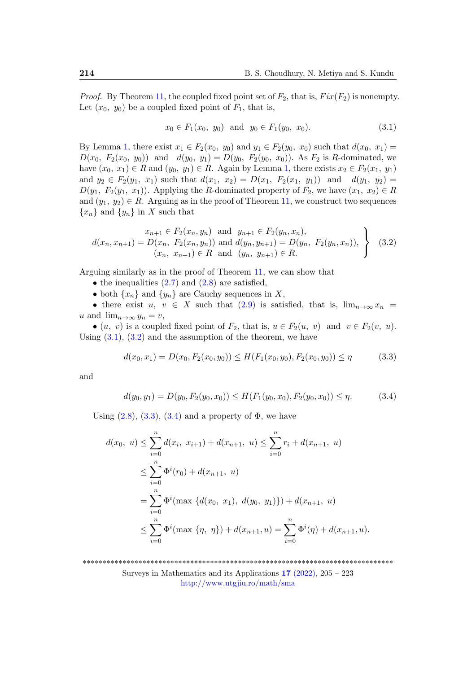*Proof.* By Theorem [11,](#page-4-0) the coupled fixed point set of  $F_2$ , that is,  $Fix(F_2)$  is nonempty. Let  $(x_0, y_0)$  be a coupled fixed point of  $F_1$ , that is,

<span id="page-9-1"></span><span id="page-9-0"></span>
$$
x_0 \in F_1(x_0, y_0) \text{ and } y_0 \in F_1(y_0, x_0). \tag{3.1}
$$

By Lemma [1,](#page-3-0) there exist  $x_1 \in F_2(x_0, y_0)$  and  $y_1 \in F_2(y_0, x_0)$  such that  $d(x_0, x_1) =$  $D(x_0, F_2(x_0, y_0))$  and  $d(y_0, y_1) = D(y_0, F_2(y_0, x_0))$ . As  $F_2$  is R-dominated, we have  $(x_0, x_1) \in R$  and  $(y_0, y_1) \in R$ . Again by Lemma [1,](#page-3-0) there exists  $x_2 \in F_2(x_1, y_1)$ and  $y_2 \in F_2(y_1, x_1)$  such that  $d(x_1, x_2) = D(x_1, F_2(x_1, y_1))$  and  $d(y_1, y_2) =$  $D(y_1, F_2(y_1, x_1))$ . Applying the R-dominated property of  $F_2$ , we have  $(x_1, x_2) \in R$ and  $(y_1, y_2) \in R$ . Arguing as in the proof of Theorem [11,](#page-4-0) we construct two sequences  ${x_n}$  and  ${y_n}$  in X such that

$$
d(x_n, x_{n+1}) = D(x_n, F_2(x_n, y_n)) \text{ and } y_{n+1} \in F_2(y_n, x_n),
$$
  

$$
d(x_n, x_{n+1}) = D(x_n, F_2(x_n, y_n)) \text{ and } d(y_n, y_{n+1}) = D(y_n, F_2(y_n, x_n)),
$$
  

$$
(x_n, x_{n+1}) \in R \text{ and } (y_n, y_{n+1}) \in R.
$$
 (3.2)

Arguing similarly as in the proof of Theorem [11,](#page-4-0) we can show that

- the inequalities  $(2.7)$  $(2.7)$  and  $(2.8)$  $(2.8)$  are satisfied,
- both  $\{x_n\}$  and  $\{y_n\}$  are Cauchy sequences in X,

• there exist  $u, v \in X$  such that [\(2.9\)](#page-7-0) is satisfied, that is,  $\lim_{n\to\infty} x_n$  = u and  $\lim_{n\to\infty} y_n = v$ ,

• (u, v) is a coupled fixed point of  $F_2$ , that is,  $u \in F_2(u, v)$  and  $v \in F_2(v, u)$ . Using  $(3.1)$ ,  $(3.2)$  and the assumption of the theorem, we have

<span id="page-9-2"></span>
$$
d(x_0, x_1) = D(x_0, F_2(x_0, y_0)) \le H(F_1(x_0, y_0), F_2(x_0, y_0)) \le \eta
$$
\n(3.3)

and

<span id="page-9-3"></span>
$$
d(y_0, y_1) = D(y_0, F_2(y_0, x_0)) \le H(F_1(y_0, x_0), F_2(y_0, x_0)) \le \eta.
$$
 (3.4)

Using  $(2.8)$ ,  $(3.3)$ ,  $(3.4)$  and a property of  $\Phi$ , we have

$$
d(x_0, u) \le \sum_{i=0}^n d(x_i, x_{i+1}) + d(x_{n+1}, u) \le \sum_{i=0}^n r_i + d(x_{n+1}, u)
$$
  
\n
$$
\le \sum_{i=0}^n \Phi^i(r_0) + d(x_{n+1}, u)
$$
  
\n
$$
= \sum_{i=0}^n \Phi^i(\max \{d(x_0, x_1), d(y_0, y_1)\}) + d(x_{n+1}, u)
$$
  
\n
$$
\le \sum_{i=0}^n \Phi^i(\max \{\eta, \eta\}) + d(x_{n+1}, u) = \sum_{i=0}^n \Phi^i(\eta) + d(x_{n+1}, u).
$$

\*\*\*\*\*\*\*\*\*\*\*\*\*\*\*\*\*\*\*\*\*\*\*\*\*\*\*\*\*\*\*\*\*\*\*\*\*\*\*\*\*\*\*\*\*\*\*\*\*\*\*\*\*\*\*\*\*\*\*\*\*\*\*\*\*\*\*\*\*\*\*\*\*\*\*\*\*\*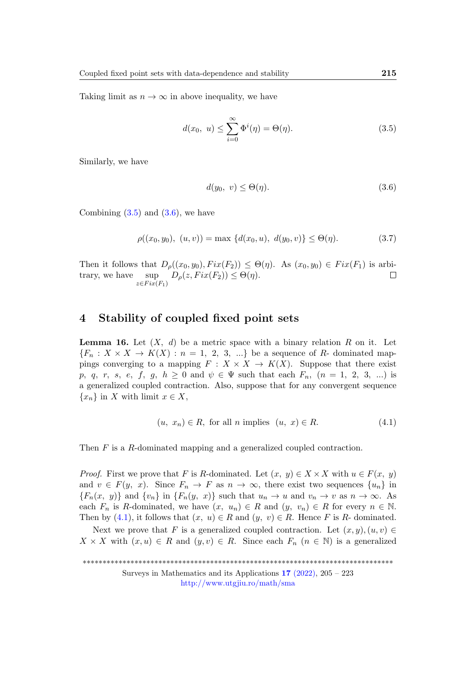Taking limit as  $n \to \infty$  in above inequality, we have

$$
d(x_0, u) \le \sum_{i=0}^{\infty} \Phi^i(\eta) = \Theta(\eta). \tag{3.5}
$$

Similarly, we have

<span id="page-10-1"></span><span id="page-10-0"></span>
$$
d(y_0, v) \leq \Theta(\eta). \tag{3.6}
$$

Combining  $(3.5)$  and  $(3.6)$ , we have

$$
\rho((x_0, y_0), (u, v)) = \max \{d(x_0, u), d(y_0, v)\} \le \Theta(\eta). \tag{3.7}
$$

Then it follows that  $D_{\rho}((x_0, y_0), Fix(F_2)) \leq \Theta(\eta)$ . As  $(x_0, y_0) \in Fix(F_1)$  is arbitrary, we have sup  $D_{\rho}(z,Fix(F_2)) \leq \Theta(\eta).$  $\Box$  $z \in Fix(F_1)$ 

### 4 Stability of coupled fixed point sets

<span id="page-10-3"></span>**Lemma 16.** Let  $(X, d)$  be a metric space with a binary relation R on it. Let  ${F_n : X \times X \to K(X) : n = 1, 2, 3, ...}$  be a sequence of R- dominated mappings converging to a mapping  $F : X \times X \to K(X)$ . Suppose that there exist p, q, r, s, e, f, g,  $h \ge 0$  and  $\psi \in \Psi$  such that each  $F_n$ ,  $(n = 1, 2, 3, ...)$  is a generalized coupled contraction. Also, suppose that for any convergent sequence  ${x_n}$  in X with limit  $x \in X$ ,

<span id="page-10-2"></span>
$$
(u, x_n) \in R, \text{ for all } n \text{ implies } (u, x) \in R. \tag{4.1}
$$

Then F is a R-dominated mapping and a generalized coupled contraction.

*Proof.* First we prove that F is R-dominated. Let  $(x, y) \in X \times X$  with  $u \in F(x, y)$ and  $v \in F(y, x)$ . Since  $F_n \to F$  as  $n \to \infty$ , there exist two sequences  $\{u_n\}$  in  ${F_n(x, y)}$  and  ${v_n}$  in  ${F_n(y, x)}$  such that  $u_n \to u$  and  $v_n \to v$  as  $n \to \infty$ . As each  $F_n$  is R-dominated, we have  $(x, u_n) \in R$  and  $(y, v_n) \in R$  for every  $n \in \mathbb{N}$ . Then by [\(4.1\)](#page-10-2), it follows that  $(x, u) \in R$  and  $(y, v) \in R$ . Hence F is R- dominated.

Next we prove that F is a generalized coupled contraction. Let  $(x, y), (u, v) \in$  $X \times X$  with  $(x, u) \in R$  and  $(y, v) \in R$ . Since each  $F_n$   $(n \in \mathbb{N})$  is a generalized

\*\*\*\*\*\*\*\*\*\*\*\*\*\*\*\*\*\*\*\*\*\*\*\*\*\*\*\*\*\*\*\*\*\*\*\*\*\*\*\*\*\*\*\*\*\*\*\*\*\*\*\*\*\*\*\*\*\*\*\*\*\*\*\*\*\*\*\*\*\*\*\*\*\*\*\*\*\*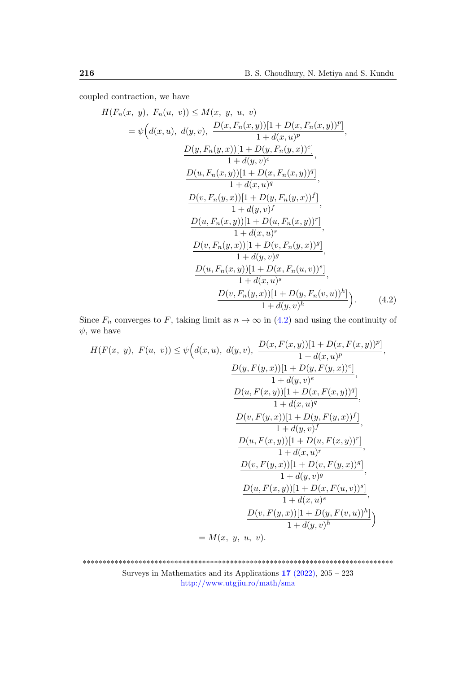coupled contraction, we have

$$
H(F_n(x, y), F_n(u, v)) \leq M(x, y, u, v)
$$
  
=  $\psi\Big(d(x, u), d(y, v), \frac{D(x, F_n(x, y))[1 + D(x, F_n(x, y))^p]}{1 + d(x, u)^p}, \frac{D(y, F_n(y, x))[1 + D(y, F_n(y, x))^e]}{1 + d(y, v)^e}, \frac{D(u, F_n(x, y))[1 + D(x, F_n(x, y))^q]}{1 + d(x, u)^q}, \frac{D(v, F_n(y, x))[1 + D(y, F_n(y, x))^f]}{1 + d(y, v)^f}, \frac{D(u, F_n(x, y))[1 + D(u, F_n(x, y))^r]}{1 + d(x, u)^r}, \frac{D(v, F_n(y, x))[1 + D(v, F_n(y, x))^g]}{1 + d(y, v)^g}, \frac{D(u, F_n(x, y))[1 + D(x, F_n(u, v))^s]}{1 + d(x, u)^s}, \frac{D(v, F_n(y, x))[1 + D(x, F_n(u, v))^s]}{1 + d(x, u)^s}, \frac{D(v, F_n(y, x))[1 + D(y, F_n(v, u))^h]}{1 + d(y, v)^h} \Big).$  (4.2)

Since  $F_n$  converges to F, taking limit as  $n \to \infty$  in [\(4.2\)](#page-11-0) and using the continuity of  $\psi$ , we have

<span id="page-11-0"></span>
$$
H(F(x, y), F(u, v)) \leq \psi\Big(d(x, u), d(y, v), \frac{D(x, F(x, y))[1 + D(x, F(x, y))^p]}{1 + d(x, u)^p},
$$
  
\n
$$
\frac{D(y, F(y, x))[1 + D(y, F(y, x))^e]}{1 + d(y, v)^e},
$$
  
\n
$$
\frac{D(u, F(x, y))[1 + D(x, F(x, y))^q]}{1 + d(x, u)^q},
$$
  
\n
$$
\frac{D(v, F(y, x))[1 + D(y, F(y, x))^f]}{1 + d(y, v)^f},
$$
  
\n
$$
\frac{D(u, F(x, y))[1 + D(u, F(x, y))^r]}{1 + d(x, u)^r},
$$
  
\n
$$
\frac{D(v, F(y, x))[1 + D(v, F(y, x))^g]}{1 + d(y, v)^g},
$$
  
\n
$$
\frac{D(u, F(x, y))[1 + D(x, F(u, v))^s]}{1 + d(x, u)^s},
$$
  
\n
$$
\frac{D(v, F(y, x))[1 + D(y, F(v, u))^h]}{1 + d(y, v)^h},
$$
  
\n
$$
= M(x, y, u, v).
$$

\*\*\*\*\*\*\*\*\*\*\*\*\*\*\*\*\*\*\*\*\*\*\*\*\*\*\*\*\*\*\*\*\*\*\*\*\*\*\*\*\*\*\*\*\*\*\*\*\*\*\*\*\*\*\*\*\*\*\*\*\*\*\*\*\*\*\*\*\*\*\*\*\*\*\*\*\*\* Surveys in Mathematics and its Applications 17 [\(2022\),](http://www.utgjiu.ro/math/sma/v17/v17.html) 205 – 223

<http://www.utgjiu.ro/math/sma>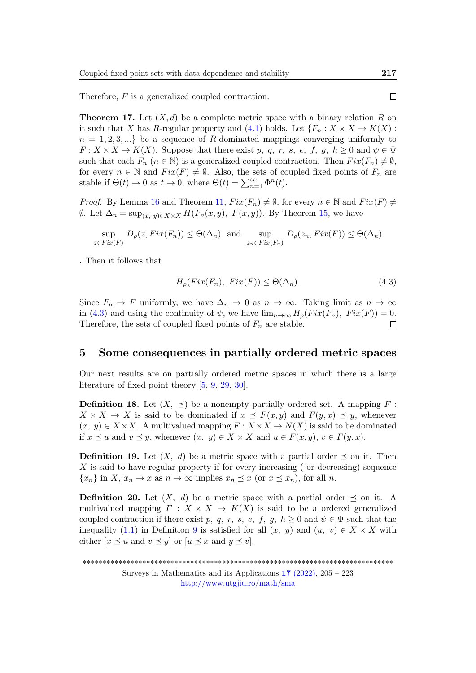Therefore, F is a generalized coupled contraction.

**Theorem 17.** Let  $(X, d)$  be a complete metric space with a binary relation R on it such that X has R-regular property and [\(4.1\)](#page-10-2) holds. Let  $\{F_n : X \times X \to K(X)$ :  $n = 1, 2, 3, \ldots$  be a sequence of R-dominated mappings converging uniformly to  $F: X \times X \to K(X)$ . Suppose that there exist p, q, r, s, e, f, g,  $h \geq 0$  and  $\psi \in \Psi$ such that each  $F_n$   $(n \in \mathbb{N})$  is a generalized coupled contraction. Then  $Fix(F_n) \neq \emptyset$ , for every  $n \in \mathbb{N}$  and  $Fix(F) \neq \emptyset$ . Also, the sets of coupled fixed points of  $F_n$  are stable if  $\Theta(t) \to 0$  as  $t \to 0$ , where  $\Theta(t) = \sum_{n=1}^{\infty} \Phi^n(t)$ .

*Proof.* By Lemma [16](#page-10-3) and Theorem [11,](#page-4-0)  $Fix(F_n) \neq \emptyset$ , for every  $n \in \mathbb{N}$  and  $Fix(F) \neq \emptyset$  $θ$ . Let  $Δ_n = sup_{(x, y)∈X×X} H(F_n(x, y), F(x, y))$ . By Theorem [15,](#page-8-0) we have

$$
\sup_{z \in Fix(F)} D_{\rho}(z, Fix(F_n)) \leq \Theta(\Delta_n) \text{ and } \sup_{z_n \in Fix(F_n)} D_{\rho}(z_n, Fix(F)) \leq \Theta(\Delta_n)
$$

. Then it follows that

$$
H_{\rho}(Fix(F_n), Fix(F)) \leq \Theta(\Delta_n). \tag{4.3}
$$

Since  $F_n \to F$  uniformly, we have  $\Delta_n \to 0$  as  $n \to \infty$ . Taking limit as  $n \to \infty$ in [\(4.3\)](#page-12-0) and using the continuity of  $\psi$ , we have  $\lim_{n\to\infty} H_{\rho}(Fix(F_n), Fix(F)) = 0$ . Therefore, the sets of coupled fixed points of  $F_n$  are stable.  $\Box$ 

#### 5 Some consequences in partially ordered metric spaces

Our next results are on partially ordered metric spaces in which there is a large literature of fixed point theory [\[5,](#page-15-1) [9,](#page-15-9) [29,](#page-17-8) [30\]](#page-17-9).

**Definition 18.** Let  $(X, \preceq)$  be a nonempty partially ordered set. A mapping F:  $X \times X \to X$  is said to be dominated if  $x \preceq F(x, y)$  and  $F(y, x) \preceq y$ , whenever  $(x, y) \in X \times X$ . A multivalued mapping  $F: X \times X \to N(X)$  is said to be dominated if  $x \preceq u$  and  $v \preceq y$ , whenever  $(x, y) \in X \times X$  and  $u \in F(x, y)$ ,  $v \in F(y, x)$ .

**Definition 19.** Let  $(X, d)$  be a metric space with a partial order  $\preceq$  on it. Then  $X$  is said to have regular property if for every increasing (or decreasing) sequence  ${x_n}$  in X,  $x_n \to x$  as  $n \to \infty$  implies  $x_n \preceq x$  (or  $x \preceq x_n$ ), for all n.

**Definition 20.** Let  $(X, d)$  be a metric space with a partial order  $\preceq$  on it. A multivalued mapping  $F : X \times X \to K(X)$  is said to be a ordered generalized coupled contraction if there exist p, q, r, s, e, f, g,  $h \geq 0$  and  $\psi \in \Psi$  such that the inequality [\(1.1\)](#page-4-1) in Definition [9](#page-4-2) is satisfied for all  $(x, y)$  and  $(u, v) \in X \times X$  with either  $[x \preceq u$  and  $v \preceq y$  or  $[u \preceq x$  and  $y \preceq v]$ .

\*\*\*\*\*\*\*\*\*\*\*\*\*\*\*\*\*\*\*\*\*\*\*\*\*\*\*\*\*\*\*\*\*\*\*\*\*\*\*\*\*\*\*\*\*\*\*\*\*\*\*\*\*\*\*\*\*\*\*\*\*\*\*\*\*\*\*\*\*\*\*\*\*\*\*\*\*\*

Surveys in Mathematics and its Applications  $17$  [\(2022\),](http://www.utgjiu.ro/math/sma/v17/v17.html) 205 – 223 <http://www.utgjiu.ro/math/sma>

<span id="page-12-0"></span> $\Box$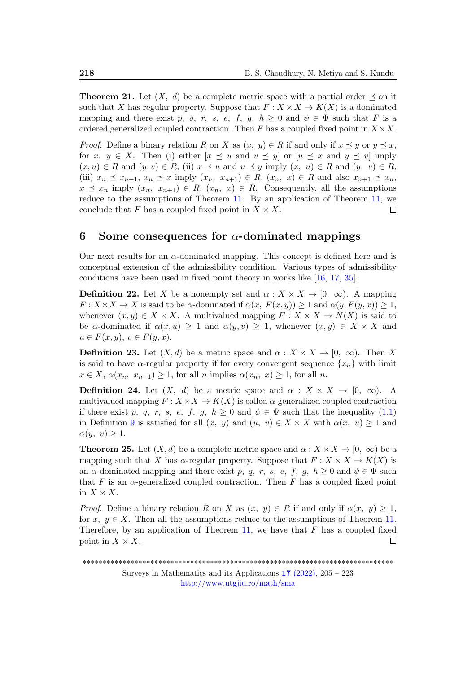**Theorem 21.** Let  $(X, d)$  be a complete metric space with a partial order  $\preceq$  on it such that X has regular property. Suppose that  $F: X \times X \to K(X)$  is a dominated mapping and there exist p, q, r, s, e, f, q, h > 0 and  $\psi \in \Psi$  such that F is a ordered generalized coupled contraction. Then F has a coupled fixed point in  $X \times X$ .

*Proof.* Define a binary relation R on X as  $(x, y) \in R$  if and only if  $x \prec y$  or  $y \prec x$ , for x,  $y \in X$ . Then (i) either  $[x \preceq u$  and  $v \preceq y]$  or  $[u \preceq x$  and  $y \preceq v]$  imply  $(x, u) \in R$  and  $(y, v) \in R$ , (ii)  $x \preceq u$  and  $v \preceq y$  imply  $(x, u) \in R$  and  $(y, v) \in R$ , (iii)  $x_n \preceq x_{n+1}, x_n \preceq x$  imply  $(x_n, x_{n+1}) \in R$ ,  $(x_n, x) \in R$  and also  $x_{n+1} \preceq x_n$ ,  $x \preceq x_n$  imply  $(x_n, x_{n+1}) \in R$ ,  $(x_n, x) \in R$ . Consequently, all the assumptions reduce to the assumptions of Theorem [11.](#page-4-0) By an application of Theorem [11,](#page-4-0) we conclude that F has a coupled fixed point in  $X \times X$ . П

# 6 Some consequences for  $\alpha$ -dominated mappings

Our next results for an  $\alpha$ -dominated mapping. This concept is defined here and is conceptual extension of the admissibility condition. Various types of admissibility conditions have been used in fixed point theory in works like [\[16,](#page-16-6) [17,](#page-16-7) [35\]](#page-18-1).

**Definition 22.** Let X be a nonempty set and  $\alpha: X \times X \rightarrow [0, \infty)$ . A mapping  $F: X \times X \to X$  is said to be  $\alpha$ -dominated if  $\alpha(x, F(x, y)) \geq 1$  and  $\alpha(y, F(y, x)) \geq 1$ , whenever  $(x, y) \in X \times X$ . A multivalued mapping  $F: X \times X \to N(X)$  is said to be  $\alpha$ -dominated if  $\alpha(x, u) \geq 1$  and  $\alpha(y, v) \geq 1$ , whenever  $(x, y) \in X \times X$  and  $u \in F(x, y), v \in F(y, x).$ 

**Definition 23.** Let  $(X, d)$  be a metric space and  $\alpha : X \times X \to [0, \infty)$ . Then X is said to have  $\alpha$ -regular property if for every convergent sequence  $\{x_n\}$  with limit  $x \in X$ ,  $\alpha(x_n, x_{n+1}) \geq 1$ , for all n implies  $\alpha(x_n, x) \geq 1$ , for all n.

**Definition 24.** Let  $(X, d)$  be a metric space and  $\alpha : X \times X \to [0, \infty)$ . A multivalued mapping  $F: X \times X \to K(X)$  is called  $\alpha$ -generalized coupled contraction if there exist p, q, r, s, e, f, g,  $h \geq 0$  and  $\psi \in \Psi$  such that the inequality [\(1.1\)](#page-4-1) in Definition [9](#page-4-2) is satisfied for all  $(x, y)$  and  $(u, v) \in X \times X$  with  $\alpha(x, u) \geq 1$  and  $\alpha(y, v) \geq 1$ .

**Theorem 25.** Let  $(X, d)$  be a complete metric space and  $\alpha : X \times X \to [0, \infty)$  be a mapping such that X has  $\alpha$ -regular property. Suppose that  $F: X \times X \to K(X)$  is an  $\alpha$ -dominated mapping and there exist p, q, r, s, e, f, g,  $h \geq 0$  and  $\psi \in \Psi$  such that F is an  $\alpha$ -generalized coupled contraction. Then F has a coupled fixed point in  $X \times X$ .

*Proof.* Define a binary relation R on X as  $(x, y) \in R$  if and only if  $\alpha(x, y) \geq 1$ , for x,  $y \in X$ . Then all the assumptions reduce to the assumptions of Theorem [11.](#page-4-0) Therefore, by an application of Theorem [11,](#page-4-0) we have that  $F$  has a coupled fixed point in  $X \times X$ .  $\Box$ 

<sup>\*\*\*\*\*\*\*\*\*\*\*\*\*\*\*\*\*\*\*\*\*\*\*\*\*\*\*\*\*\*\*\*\*\*\*\*\*\*\*\*\*\*\*\*\*\*\*\*\*\*\*\*\*\*\*\*\*\*\*\*\*\*\*\*\*\*\*\*\*\*\*\*\*\*\*\*\*\*</sup>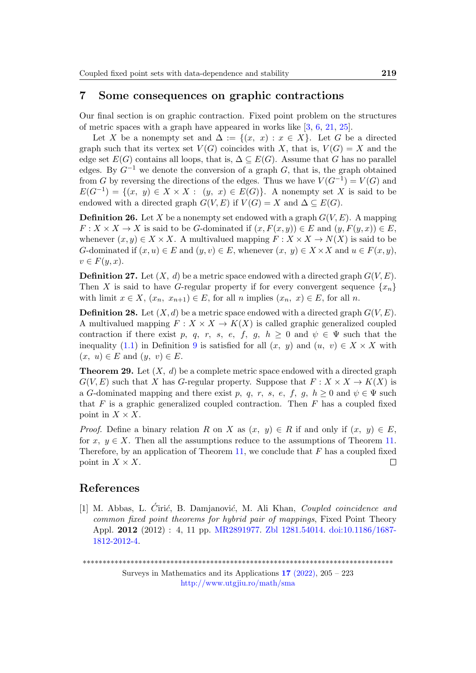### 7 Some consequences on graphic contractions

Our final section is on graphic contraction. Fixed point problem on the structures of metric spaces with a graph have appeared in works like [\[3,](#page-15-10) [6,](#page-15-7) [21,](#page-16-10) [25\]](#page-17-10).

Let X be a nonempty set and  $\Delta := \{(x, x) : x \in X\}$ . Let G be a directed graph such that its vertex set  $V(G)$  coincides with X, that is,  $V(G) = X$  and the edge set  $E(G)$  contains all loops, that is,  $\Delta \subseteq E(G)$ . Assume that G has no parallel edges. By  $G^{-1}$  we denote the conversion of a graph  $G$ , that is, the graph obtained from G by reversing the directions of the edges. Thus we have  $V(G^{-1}) = V(G)$  and  $E(G^{-1}) = \{(x, y) \in X \times X : (y, x) \in E(G)\}.$  A nonempty set X is said to be endowed with a directed graph  $G(V, E)$  if  $V(G) = X$  and  $\Delta \subseteq E(G)$ .

**Definition 26.** Let X be a nonempty set endowed with a graph  $G(V, E)$ . A mapping  $F: X \times X \to X$  is said to be G-dominated if  $(x, F(x, y)) \in E$  and  $(y, F(y, x)) \in E$ , whenever  $(x, y) \in X \times X$ . A multivalued mapping  $F: X \times X \to N(X)$  is said to be G-dominated if  $(x, u) \in E$  and  $(y, v) \in E$ , whenever  $(x, y) \in X \times X$  and  $u \in F(x, y)$ ,  $v \in F(y, x)$ .

**Definition 27.** Let  $(X, d)$  be a metric space endowed with a directed graph  $G(V, E)$ . Then X is said to have G-regular property if for every convergent sequence  $\{x_n\}$ with limit  $x \in X$ ,  $(x_n, x_{n+1}) \in E$ , for all n implies  $(x_n, x) \in E$ , for all n.

**Definition 28.** Let  $(X, d)$  be a metric space endowed with a directed graph  $G(V, E)$ . A multivalued mapping  $F: X \times X \to K(X)$  is called graphic generalized coupled contraction if there exist p, q, r, s, e, f, g,  $h \geq 0$  and  $\psi \in \Psi$  such that the inequality [\(1.1\)](#page-4-1) in Definition [9](#page-4-2) is satisfied for all  $(x, y)$  and  $(u, v) \in X \times X$  with  $(x, u) \in E$  and  $(y, v) \in E$ .

**Theorem 29.** Let  $(X, d)$  be a complete metric space endowed with a directed graph  $G(V, E)$  such that X has G-regular property. Suppose that  $F: X \times X \to K(X)$  is a G-dominated mapping and there exist p, q, r, s, e, f, g,  $h \geq 0$  and  $\psi \in \Psi$  such that  $F$  is a graphic generalized coupled contraction. Then  $F$  has a coupled fixed point in  $X \times X$ .

*Proof.* Define a binary relation R on X as  $(x, y) \in R$  if and only if  $(x, y) \in E$ , for x,  $y \in X$ . Then all the assumptions reduce to the assumptions of Theorem [11.](#page-4-0) Therefore, by an application of Theorem [11,](#page-4-0) we conclude that  $F$  has a coupled fixed point in  $X \times X$ .  $\Box$ 

## References

<span id="page-14-0"></span>[1] M. Abbas, L. Ćirić, B. Damjanović, M. Ali Khan, Coupled coincidence and common fixed point theorems for hybrid pair of mappings, Fixed Point Theory Appl. 2012 (2012) : 4, 11 pp. [MR2891977.](http://www.ams.org/mathscinet-getitem?mr=2891977) [Zbl 1281.54014.](https://zbmath.org/?q=an:1281.54014) [doi:10.1186/1687-](https://zbmath.org/) [1812-2012-4.](https://zbmath.org/)

\*\*\*\*\*\*\*\*\*\*\*\*\*\*\*\*\*\*\*\*\*\*\*\*\*\*\*\*\*\*\*\*\*\*\*\*\*\*\*\*\*\*\*\*\*\*\*\*\*\*\*\*\*\*\*\*\*\*\*\*\*\*\*\*\*\*\*\*\*\*\*\*\*\*\*\*\*\*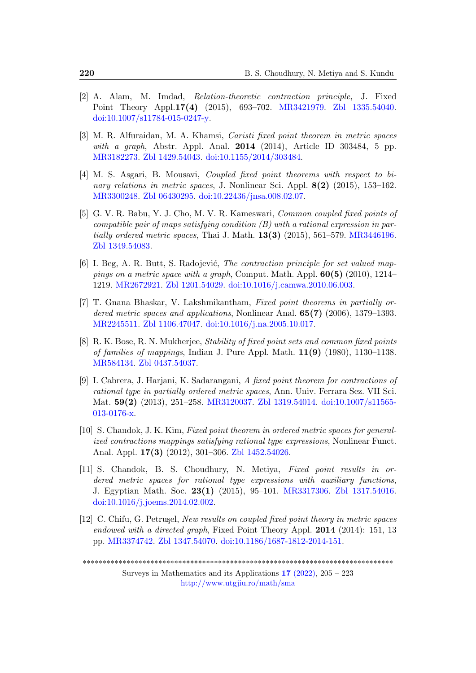- <span id="page-15-0"></span>[2] A. Alam, M. Imdad, Relation-theoretic contraction principle, J. Fixed Point Theory Appl.17(4) (2015), 693–702. [MR3421979.](http://www.ams.org/mathscinet-getitem?mr=3421979) [Zbl 1335.54040.](https://zbmath.org/?q=an:1335.54040) [doi:10.1007/s11784-015-0247-y.](https://zbmath.org/)
- <span id="page-15-10"></span>[3] M. R. Alfuraidan, M. A. Khamsi, Caristi fixed point theorem in metric spaces with a graph, Abstr. Appl. Anal.  $2014$  (2014), Article ID 303484, 5 pp. [MR3182273.](http://www.ams.org/mathscinet-getitem?mr=3182273) [Zbl 1429.54043.](https://zbmath.org/?q=an:1429.54043) [doi:10.1155/2014/303484.](https://zbmath.org/)
- <span id="page-15-5"></span>[4] M. S. Asgari, B. Mousavi, Coupled fixed point theorems with respect to binary relations in metric spaces, J. Nonlinear Sci. Appl.  $8(2)$  (2015), 153–162. [MR3300248.](http://www.ams.org/mathscinet-getitem?mr=3300248) [Zbl 06430295.](https://zbmath.org/?q=an:06430295) [doi:10.22436/jnsa.008.02.07.](https://zbmath.org/)
- <span id="page-15-1"></span>[5] G. V. R. Babu, Y. J. Cho, M. V. R. Kameswari, Common coupled fixed points of compatible pair of maps satisfying condition  $(B)$  with a rational expression in partially ordered metric spaces, Thai J. Math.  $13(3)$  (2015), 561–579. [MR3446196.](http://www.ams.org/mathscinet-getitem?mr=3446196) [Zbl 1349.54083.](https://zbmath.org/?q=an:1349.54083)
- <span id="page-15-7"></span>[6] I. Beg, A. R. Butt, S. Radojević, *The contraction principle for set valued map*pings on a metric space with a graph, Comput. Math. Appl.  $60(5)$  (2010), 1214– 1219. [MR2672921.](http://www.ams.org/mathscinet-getitem?mr=2672921) [Zbl 1201.54029.](https://zbmath.org/?q=an:1201.54029) [doi:10.1016/j.camwa.2010.06.003.](https://zbmath.org/)
- <span id="page-15-4"></span>[7] T. Gnana Bhaskar, V. Lakshmikantham, Fixed point theorems in partially ordered metric spaces and applications, Nonlinear Anal. 65(7) (2006), 1379–1393. [MR2245511.](http://www.ams.org/mathscinet-getitem?mr=2245511) [Zbl 1106.47047.](https://zbmath.org/?q=an:1106.47047) [doi:10.1016/j.na.2005.10.017.](https://zbmath.org/)
- <span id="page-15-8"></span>[8] R. K. Bose, R. N. Mukherjee, Stability of fixed point sets and common fixed points of families of mappings, Indian J. Pure Appl. Math.  $11(9)$  (1980), 1130–1138. [MR584134.](http://www.ams.org/mathscinet-getitem?mr=584134) [Zbl 0437.54037.](https://zbmath.org/?q=an:0437.54037)
- <span id="page-15-9"></span>[9] I. Cabrera, J. Harjani, K. Sadarangani, A fixed point theorem for contractions of rational type in partially ordered metric spaces, Ann. Univ. Ferrara Sez. VII Sci. Mat. 59(2) (2013), 251–258. [MR3120037.](http://www.ams.org/mathscinet-getitem?mr=3120037) [Zbl 1319.54014.](https://zbmath.org/?q=an:1319.54014) [doi:10.1007/s11565-](https://zbmath.org/) [013-0176-x.](https://zbmath.org/)
- <span id="page-15-2"></span>[10] S. Chandok, J. K. Kim, Fixed point theorem in ordered metric spaces for generalized contractions mappings satisfying rational type expressions, Nonlinear Funct. Anal. Appl. 17(3) (2012), 301–306. [Zbl 1452.54026.](https://zbmath.org/?q=an:1452.54026)
- <span id="page-15-3"></span>[11] S. Chandok, B. S. Choudhury, N. Metiya, Fixed point results in ordered metric spaces for rational type expressions with auxiliary functions, J. Egyptian Math. Soc. 23(1) (2015), 95–101. [MR3317306.](http://www.ams.org/mathscinet-getitem?mr=3317306) [Zbl 1317.54016.](https://zbmath.org/?q=an:1317.54016) [doi:10.1016/j.joems.2014.02.002.](https://zbmath.org/)
- <span id="page-15-6"></span>[12] C. Chifu, G. Petrusel, New results on coupled fixed point theory in metric spaces endowed with a directed graph, Fixed Point Theory Appl. 2014 (2014): 151, 13 pp. [MR3374742.](http://www.ams.org/mathscinet-getitem?mr=3374742) [Zbl 1347.54070.](https://zbmath.org/?q=an:1347.54070) [doi:10.1186/1687-1812-2014-151.](https://zbmath.org/)

\*\*\*\*\*\*\*\*\*\*\*\*\*\*\*\*\*\*\*\*\*\*\*\*\*\*\*\*\*\*\*\*\*\*\*\*\*\*\*\*\*\*\*\*\*\*\*\*\*\*\*\*\*\*\*\*\*\*\*\*\*\*\*\*\*\*\*\*\*\*\*\*\*\*\*\*\*\*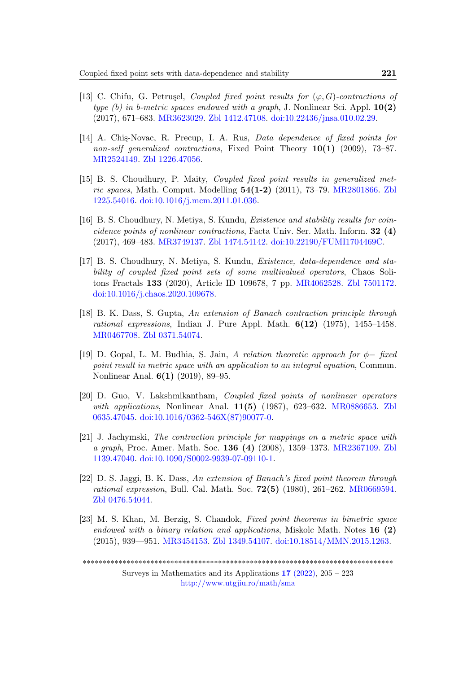- <span id="page-16-8"></span>[13] C. Chifu, G. Petrușel, Coupled fixed point results for  $(\varphi, G)$ -contractions of type (b) in b-metric spaces endowed with a graph, J. Nonlinear Sci. Appl.  $10(2)$ (2017), 671–683. [MR3623029.](http://www.ams.org/mathscinet-getitem?mr=3623029) [Zbl 1412.47108.](https://zbmath.org/?q=an:1412.47108) [doi:10.22436/jnsa.010.02.29.](https://zbmath.org/)
- <span id="page-16-9"></span>[14] A. Chis-Novac, R. Precup, I. A. Rus, *Data dependence of fixed points for* non-self generalized contractions, Fixed Point Theory  $10(1)$  (2009), 73–87. [MR2524149.](http://www.ams.org/mathscinet-getitem?mr=2524149) [Zbl 1226.47056.](https://zbmath.org/?q=an:1226.47056)
- <span id="page-16-5"></span>[15] B. S. Choudhury, P. Maity, Coupled fixed point results in generalized metric spaces, Math. Comput. Modelling 54(1-2) (2011), 73–79. [MR2801866.](http://www.ams.org/mathscinet-getitem?mr=2801866) [Zbl](https://zbmath.org/?q=an:1225.54016) [1225.54016.](https://zbmath.org/?q=an:1225.54016) [doi:10.1016/j.mcm.2011.01.036.](https://zbmath.org/)
- <span id="page-16-6"></span>[16] B. S. Choudhury, N. Metiya, S. Kundu, Existence and stability results for coincidence points of nonlinear contractions, Facta Univ. Ser. Math. Inform. 32 (4) (2017), 469–483. [MR3749137.](http://www.ams.org/mathscinet-getitem?mr=3749137) [Zbl 1474.54142.](https://zbmath.org/?q=an:1474.54142) [doi:10.22190/FUMI1704469C.](https://zbmath.org/)
- <span id="page-16-7"></span>[17] B. S. Choudhury, N. Metiya, S. Kundu, Existence, data-dependence and stability of coupled fixed point sets of some multivalued operators, Chaos Solitons Fractals 133 (2020), Article ID 109678, 7 pp. [MR4062528.](http://www.ams.org/mathscinet-getitem?mr=4062528) [Zbl 7501172.](https://zbmath.org/?q=an:7501172) [doi:10.1016/j.chaos.2020.109678.](https://zbmath.org/)
- <span id="page-16-2"></span>[18] B. K. Dass, S. Gupta, An extension of Banach contraction principle through rational expressions, Indian J. Pure Appl. Math.  $6(12)$  (1975), 1455–1458. [MR0467708.](http://www.ams.org/mathscinet-getitem?mr=0467708) [Zbl 0371.54074.](https://zbmath.org/?q=an:0371.54074)
- <span id="page-16-0"></span>[19] D. Gopal, L. M. Budhia, S. Jain, A relation theoretic approach for ϕ− fixed point result in metric space with an application to an integral equation, Commun. Nonlinear Anal. 6(1) (2019), 89–95.
- <span id="page-16-4"></span>[20] D. Guo, V. Lakshmikantham, Coupled fixed points of nonlinear operators with applications, Nonlinear Anal.  $11(5)$  (1987), 623–632. [MR0886653.](http://www.ams.org/mathscinet-getitem?mr=0886653) [Zbl](https://zbmath.org/?q=an:0635.47045) [0635.47045.](https://zbmath.org/?q=an:0635.47045) [doi:10.1016/0362-546X\(87\)90077-0.](https://zbmath.org/)
- <span id="page-16-10"></span>[21] J. Jachymski, The contraction principle for mappings on a metric space with a graph, Proc. Amer. Math. Soc. 136 (4) (2008), 1359–1373. [MR2367109.](http://www.ams.org/mathscinet-getitem?mr=2367109) [Zbl](https://zbmath.org/?q=an:1139.47040) [1139.47040.](https://zbmath.org/?q=an:1139.47040) [doi:10.1090/S0002-9939-07-09110-1.](https://zbmath.org/)
- <span id="page-16-3"></span>[22] D. S. Jaggi, B. K. Dass, An extension of Banach's fixed point theorem through rational expression, Bull. Cal. Math. Soc.  $72(5)$  (1980), 261–262. [MR0669594.](http://www.ams.org/mathscinet-getitem?mr=0669594) [Zbl 0476.54044.](https://zbmath.org/?q=an:0476.54044)
- <span id="page-16-1"></span>[23] M. S. Khan, M. Berzig, S. Chandok, Fixed point theorems in bimetric space endowed with a binary relation and applications, Miskolc Math. Notes  $16 \text{ (2)}$ (2015), 939—951. [MR3454153.](http://www.ams.org/mathscinet-getitem?mr=3454153) [Zbl 1349.54107.](https://zbmath.org/?q=an:1349.54107) [doi:10.18514/MMN.2015.1263.](https://zbmath.org/)

\*\*\*\*\*\*\*\*\*\*\*\*\*\*\*\*\*\*\*\*\*\*\*\*\*\*\*\*\*\*\*\*\*\*\*\*\*\*\*\*\*\*\*\*\*\*\*\*\*\*\*\*\*\*\*\*\*\*\*\*\*\*\*\*\*\*\*\*\*\*\*\*\*\*\*\*\*\*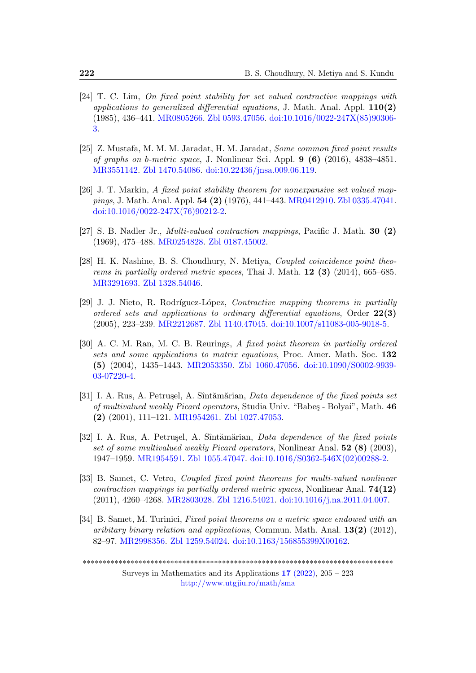- <span id="page-17-5"></span>[24] T. C. Lim, On fixed point stability for set valued contractive mappings with applications to generalized differential equations, J. Math. Anal. Appl.  $110(2)$ (1985), 436–441. [MR0805266.](http://www.ams.org/mathscinet-getitem?mr=0805266) [Zbl 0593.47056.](https://zbmath.org/?q=an:0593.47056) [doi:10.1016/0022-247X\(85\)90306-](https://zbmath.org/) [3.](https://zbmath.org/)
- <span id="page-17-10"></span>[25] Z. Mustafa, M. M. M. Jaradat, H. M. Jaradat, Some common fixed point results of graphs on b-metric space, J. Nonlinear Sci. Appl.  $9(6)(2016)$ , 4838-4851. [MR3551142.](http://www.ams.org/mathscinet-getitem?mr=3551142) [Zbl 1470.54086.](https://zbmath.org/?q=an:1470.54086) [doi:10.22436/jnsa.009.06.119.](https://zbmath.org/)
- <span id="page-17-6"></span>[26] J. T. Markin, A fixed point stability theorem for nonexpansive set valued mappings, J. Math. Anal. Appl. 54 (2) (1976), 441–443. [MR0412910.](http://www.ams.org/mathscinet-getitem?mr=0412910) [Zbl 0335.47041.](https://zbmath.org/?q=an:0335.47041) [doi:10.1016/0022-247X\(76\)90212-2.](https://zbmath.org/)
- <span id="page-17-2"></span>[27] S. B. Nadler Jr., Multi-valued contraction mappings, Pacific J. Math. 30 (2) (1969), 475–488. [MR0254828.](http://www.ams.org/mathscinet-getitem?mr=0254828) [Zbl 0187.45002.](https://zbmath.org/?q=an:0187.45002)
- <span id="page-17-1"></span>[28] H. K. Nashine, B. S. Choudhury, N. Metiya, Coupled coincidence point theorems in partially ordered metric spaces, Thai J. Math.  $12$  (3) (2014), 665–685. [MR3291693.](http://www.ams.org/mathscinet-getitem?mr=3291693) [Zbl 1328.54046.](https://zbmath.org/?q=an:1328.54046)
- <span id="page-17-8"></span>[29] J. J. Nieto, R. Rodríguez-López, Contractive mapping theorems in partially ordered sets and applications to ordinary differential equations, Order  $22(3)$ (2005), 223–239. [MR2212687.](http://www.ams.org/mathscinet-getitem?mr=2212687) [Zbl 1140.47045.](https://zbmath.org/?q=an:1140.47045) [doi:10.1007/s11083-005-9018-5.](https://zbmath.org/)
- <span id="page-17-9"></span>[30] A. C. M. Ran, M. C. B. Reurings, A fixed point theorem in partially ordered sets and some applications to matrix equations, Proc. Amer. Math. Soc. 132 (5) (2004), 1435–1443. [MR2053350.](http://www.ams.org/mathscinet-getitem?mr=2053350) [Zbl 1060.47056.](https://zbmath.org/?q=an:1060.47056) [doi:10.1090/S0002-9939-](https://zbmath.org/) [03-07220-4.](https://zbmath.org/)
- <span id="page-17-3"></span>[31] I. A. Rus, A. Petrusel, A. Sîntămărian, Data dependence of the fixed points set of multivalued weakly Picard operators, Studia Univ. "Babes - Bolyai", Math. 46 (2) (2001), 111–121. [MR1954261.](http://www.ams.org/mathscinet-getitem?mr=1954261) [Zbl 1027.47053.](https://zbmath.org/?q=an:1027.47053)
- <span id="page-17-4"></span>[32] I. A. Rus, A. Petrusel, A. Sîntămărian, Data dependence of the fixed points set of some multivalued weakly Picard operators, Nonlinear Anal. 52 (8) (2003), 1947–1959. [MR1954591.](http://www.ams.org/mathscinet-getitem?mr=1954591) [Zbl 1055.47047.](https://zbmath.org/?q=an:1055.47047) [doi:10.1016/S0362-546X\(02\)00288-2.](https://zbmath.org/)
- <span id="page-17-7"></span>[33] B. Samet, C. Vetro, Coupled fixed point theorems for multi-valued nonlinear contraction mappings in partially ordered metric spaces, Nonlinear Anal.  $74(12)$ (2011), 4260–4268. [MR2803028.](http://www.ams.org/mathscinet-getitem?mr=2803028) [Zbl 1216.54021.](https://zbmath.org/?q=an:1216.54021) [doi:10.1016/j.na.2011.04.007.](https://zbmath.org/)
- <span id="page-17-0"></span>[34] B. Samet, M. Turinici, Fixed point theorems on a metric space endowed with an aribitary binary relation and applications, Commun. Math. Anal.  $13(2)$  (2012), 82–97. [MR2998356.](http://www.ams.org/mathscinet-getitem?mr=2998356) [Zbl 1259.54024.](https://zbmath.org/?q=an:1259.54024) [doi:10.1163/156855399X00162.](https://zbmath.org/)

\*\*\*\*\*\*\*\*\*\*\*\*\*\*\*\*\*\*\*\*\*\*\*\*\*\*\*\*\*\*\*\*\*\*\*\*\*\*\*\*\*\*\*\*\*\*\*\*\*\*\*\*\*\*\*\*\*\*\*\*\*\*\*\*\*\*\*\*\*\*\*\*\*\*\*\*\*\*